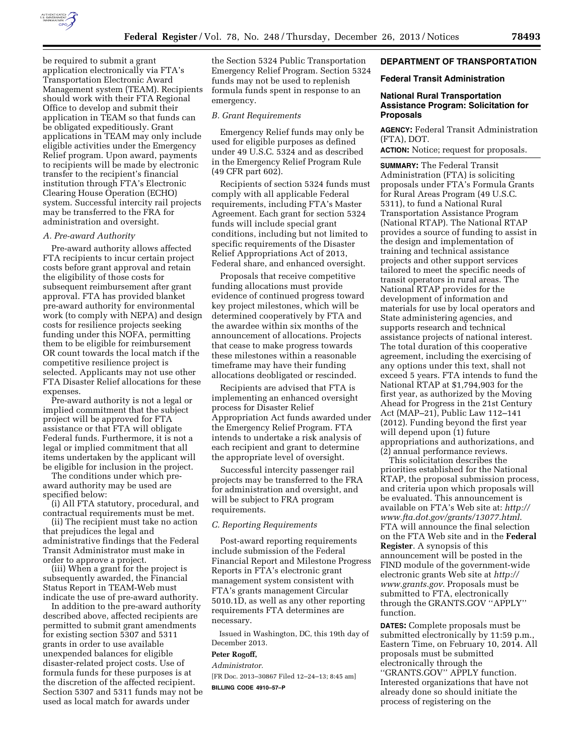

be required to submit a grant application electronically via FTA's Transportation Electronic Award Management system (TEAM). Recipients should work with their FTA Regional Office to develop and submit their application in TEAM so that funds can be obligated expeditiously. Grant applications in TEAM may only include eligible activities under the Emergency Relief program. Upon award, payments to recipients will be made by electronic transfer to the recipient's financial institution through FTA's Electronic Clearing House Operation (ECHO) system. Successful intercity rail projects may be transferred to the FRA for administration and oversight.

# *A. Pre-award Authority*

Pre-award authority allows affected FTA recipients to incur certain project costs before grant approval and retain the eligibility of those costs for subsequent reimbursement after grant approval. FTA has provided blanket pre-award authority for environmental work (to comply with NEPA) and design costs for resilience projects seeking funding under this NOFA, permitting them to be eligible for reimbursement OR count towards the local match if the competitive resilience project is selected. Applicants may not use other FTA Disaster Relief allocations for these expenses.

Pre-award authority is not a legal or implied commitment that the subject project will be approved for FTA assistance or that FTA will obligate Federal funds. Furthermore, it is not a legal or implied commitment that all items undertaken by the applicant will be eligible for inclusion in the project.

The conditions under which preaward authority may be used are specified below:

(i) All FTA statutory, procedural, and contractual requirements must be met.

(ii) The recipient must take no action that prejudices the legal and administrative findings that the Federal Transit Administrator must make in order to approve a project.

(iii) When a grant for the project is subsequently awarded, the Financial Status Report in TEAM-Web must indicate the use of pre-award authority.

In addition to the pre-award authority described above, affected recipients are permitted to submit grant amendments for existing section 5307 and 5311 grants in order to use available unexpended balances for eligible disaster-related project costs. Use of formula funds for these purposes is at the discretion of the affected recipient. Section 5307 and 5311 funds may not be used as local match for awards under

the Section 5324 Public Transportation Emergency Relief Program. Section 5324 funds may not be used to replenish formula funds spent in response to an emergency.

### *B. Grant Requirements*

Emergency Relief funds may only be used for eligible purposes as defined under 49 U.S.C. 5324 and as described in the Emergency Relief Program Rule (49 CFR part 602).

Recipients of section 5324 funds must comply with all applicable Federal requirements, including FTA's Master Agreement. Each grant for section 5324 funds will include special grant conditions, including but not limited to specific requirements of the Disaster Relief Appropriations Act of 2013, Federal share, and enhanced oversight.

Proposals that receive competitive funding allocations must provide evidence of continued progress toward key project milestones, which will be determined cooperatively by FTA and the awardee within six months of the announcement of allocations. Projects that cease to make progress towards these milestones within a reasonable timeframe may have their funding allocations deobligated or rescinded.

Recipients are advised that FTA is implementing an enhanced oversight process for Disaster Relief Appropriation Act funds awarded under the Emergency Relief Program. FTA intends to undertake a risk analysis of each recipient and grant to determine the appropriate level of oversight.

Successful intercity passenger rail projects may be transferred to the FRA for administration and oversight, and will be subject to FRA program requirements.

#### *C. Reporting Requirements*

Post-award reporting requirements include submission of the Federal Financial Report and Milestone Progress Reports in FTA's electronic grant management system consistent with FTA's grants management Circular 5010.1D, as well as any other reporting requirements FTA determines are necessary.

Issued in Washington, DC, this 19th day of December 2013.

#### **Peter Rogoff,**

*Administrator.* 

[FR Doc. 2013–30867 Filed 12–24–13; 8:45 am]

**BILLING CODE 4910–57–P** 

# **DEPARTMENT OF TRANSPORTATION**

## **Federal Transit Administration**

# **National Rural Transportation Assistance Program: Solicitation for Proposals**

**AGENCY:** Federal Transit Administration (FTA), DOT.

**ACTION:** Notice; request for proposals.

**SUMMARY:** The Federal Transit Administration (FTA) is soliciting proposals under FTA's Formula Grants for Rural Areas Program (49 U.S.C. 5311), to fund a National Rural Transportation Assistance Program (National RTAP). The National RTAP provides a source of funding to assist in the design and implementation of training and technical assistance projects and other support services tailored to meet the specific needs of transit operators in rural areas. The National RTAP provides for the development of information and materials for use by local operators and State administering agencies, and supports research and technical assistance projects of national interest. The total duration of this cooperative agreement, including the exercising of any options under this text, shall not exceed 5 years. FTA intends to fund the National RTAP at \$1,794,903 for the first year, as authorized by the Moving Ahead for Progress in the 21st Century Act (MAP–21), Public Law 112–141 (2012). Funding beyond the first year will depend upon (1) future appropriations and authorizations, and (2) annual performance reviews.

This solicitation describes the priorities established for the National RTAP, the proposal submission process, and criteria upon which proposals will be evaluated. This announcement is available on FTA's Web site at: *[http://](http://www.fta.dot.gov/grants/13077.html)  [www.fta.dot.gov/grants/13077.html](http://www.fta.dot.gov/grants/13077.html)*. FTA will announce the final selection on the FTA Web site and in the **Federal Register**. A synopsis of this announcement will be posted in the FIND module of the government-wide electronic grants Web site at *[http://](http://www.grants.gov) [www.grants.gov](http://www.grants.gov)*. Proposals must be submitted to FTA, electronically through the GRANTS.GOV ''APPLY'' function.

**DATES:** Complete proposals must be submitted electronically by 11:59 p.m., Eastern Time, on February 10, 2014. All proposals must be submitted electronically through the ''GRANTS.GOV'' APPLY function. Interested organizations that have not already done so should initiate the process of registering on the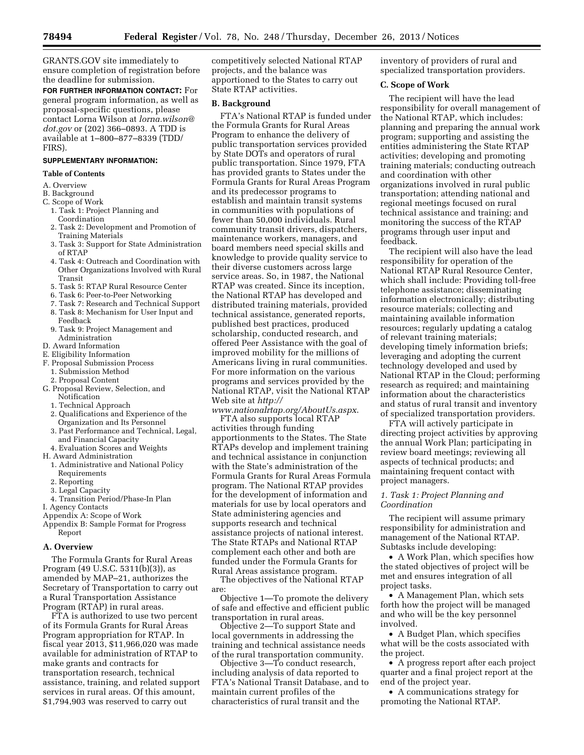GRANTS.GOV site immediately to ensure completion of registration before the deadline for submission.

**FOR FURTHER INFORMATION CONTACT:** For general program information, as well as proposal-specific questions, please contact Lorna Wilson at *[lorna.wilson@](mailto:lorna.wilson@dot.gov) [dot.gov](mailto:lorna.wilson@dot.gov)* or (202) 366–0893. A TDD is available at 1–800–877–8339 (TDD/ FIRS).

# **SUPPLEMENTARY INFORMATION:**

#### **Table of Contents**

- A. Overview
- B. Background
- C. Scope of Work
	- 1. Task 1: Project Planning and Coordination
	- 2. Task 2: Development and Promotion of Training Materials
	- 3. Task 3: Support for State Administration of RTAP
	- 4. Task 4: Outreach and Coordination with Other Organizations Involved with Rural Transit
	- 5. Task 5: RTAP Rural Resource Center
	- 6. Task 6: Peer-to-Peer Networking
	- 7. Task 7: Research and Technical Support 8. Task 8: Mechanism for User Input and
	- Feedback 9. Task 9: Project Management and Administration
- D. Award Information
- E. Eligibility Information
- F. Proposal Submission Process
- 1. Submission Method
- 2. Proposal Content
- G. Proposal Review, Selection, and **Notification** 
	- 1. Technical Approach
	- 2. Qualifications and Experience of the Organization and Its Personnel
	- 3. Past Performance and Technical, Legal, and Financial Capacity
	- 4. Evaluation Scores and Weights
- H. Award Administration
- 1. Administrative and National Policy Requirements
- 2. Reporting
- 3. Legal Capacity
- 4. Transition Period/Phase-In Plan
- I. Agency Contacts
- Appendix A: Scope of Work
- Appendix B: Sample Format for Progress Report

#### **A. Overview**

The Formula Grants for Rural Areas Program (49 U.S.C. 5311(b)(3)), as amended by MAP–21, authorizes the Secretary of Transportation to carry out a Rural Transportation Assistance Program (RTAP) in rural areas.

FTA is authorized to use two percent of its Formula Grants for Rural Areas Program appropriation for RTAP. In fiscal year 2013, \$11,966,020 was made available for administration of RTAP to make grants and contracts for transportation research, technical assistance, training, and related support services in rural areas. Of this amount, \$1,794,903 was reserved to carry out

competitively selected National RTAP projects, and the balance was apportioned to the States to carry out State RTAP activities.

# **B. Background**

FTA's National RTAP is funded under the Formula Grants for Rural Areas Program to enhance the delivery of public transportation services provided by State DOTs and operators of rural public transportation. Since 1979, FTA has provided grants to States under the Formula Grants for Rural Areas Program and its predecessor programs to establish and maintain transit systems in communities with populations of fewer than 50,000 individuals. Rural community transit drivers, dispatchers, maintenance workers, managers, and board members need special skills and knowledge to provide quality service to their diverse customers across large service areas. So, in 1987, the National RTAP was created. Since its inception, the National RTAP has developed and distributed training materials, provided technical assistance, generated reports, published best practices, produced scholarship, conducted research, and offered Peer Assistance with the goal of improved mobility for the millions of Americans living in rural communities. For more information on the various programs and services provided by the National RTAP, visit the National RTAP Web site at *[http://](http://www.nationalrtap.org/AboutUs.aspx)*

*[www.nationalrtap.org/AboutUs.aspx](http://www.nationalrtap.org/AboutUs.aspx)*.

FTA also supports local RTAP activities through funding apportionments to the States. The State RTAPs develop and implement training and technical assistance in conjunction with the State's administration of the Formula Grants for Rural Areas Formula program. The National RTAP provides for the development of information and materials for use by local operators and State administering agencies and supports research and technical assistance projects of national interest. The State RTAPs and National RTAP complement each other and both are funded under the Formula Grants for Rural Areas assistance program.

The objectives of the National RTAP are:

Objective 1—To promote the delivery of safe and effective and efficient public transportation in rural areas.

Objective 2—To support State and local governments in addressing the training and technical assistance needs of the rural transportation community.

Objective 3—To conduct research, including analysis of data reported to FTA's National Transit Database, and to maintain current profiles of the characteristics of rural transit and the

inventory of providers of rural and specialized transportation providers.

## **C. Scope of Work**

The recipient will have the lead responsibility for overall management of the National RTAP, which includes: planning and preparing the annual work program; supporting and assisting the entities administering the State RTAP activities; developing and promoting training materials; conducting outreach and coordination with other organizations involved in rural public transportation; attending national and regional meetings focused on rural technical assistance and training; and monitoring the success of the RTAP programs through user input and feedback.

The recipient will also have the lead responsibility for operation of the National RTAP Rural Resource Center, which shall include: Providing toll-free telephone assistance; disseminating information electronically; distributing resource materials; collecting and maintaining available information resources; regularly updating a catalog of relevant training materials; developing timely information briefs; leveraging and adopting the current technology developed and used by National RTAP in the Cloud; performing research as required; and maintaining information about the characteristics and status of rural transit and inventory of specialized transportation providers.

FTA will actively participate in directing project activities by approving the annual Work Plan; participating in review board meetings; reviewing all aspects of technical products; and maintaining frequent contact with project managers.

# *1. Task 1: Project Planning and Coordination*

The recipient will assume primary responsibility for administration and management of the National RTAP. Subtasks include developing:

• A Work Plan, which specifies how the stated objectives of project will be met and ensures integration of all project tasks.

• A Management Plan, which sets forth how the project will be managed and who will be the key personnel involved.

• A Budget Plan, which specifies what will be the costs associated with the project.

• A progress report after each project quarter and a final project report at the end of the project year.

• A communications strategy for promoting the National RTAP.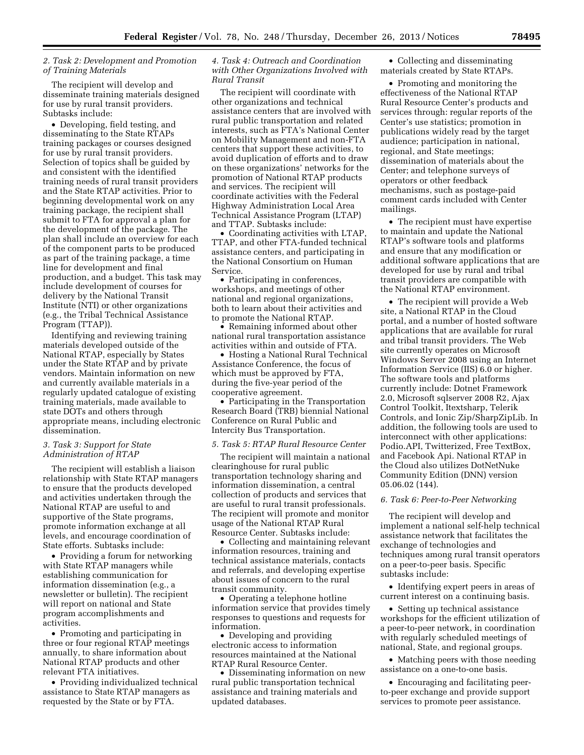# *2. Task 2: Development and Promotion of Training Materials*

The recipient will develop and disseminate training materials designed for use by rural transit providers. Subtasks include:

• Developing, field testing, and disseminating to the State RTAPs training packages or courses designed for use by rural transit providers. Selection of topics shall be guided by and consistent with the identified training needs of rural transit providers and the State RTAP activities. Prior to beginning developmental work on any training package, the recipient shall submit to FTA for approval a plan for the development of the package. The plan shall include an overview for each of the component parts to be produced as part of the training package, a time line for development and final production, and a budget. This task may include development of courses for delivery by the National Transit Institute (NTI) or other organizations (e.g., the Tribal Technical Assistance Program (TTAP)).

Identifying and reviewing training materials developed outside of the National RTAP, especially by States under the State RTAP and by private vendors. Maintain information on new and currently available materials in a regularly updated catalogue of existing training materials, made available to state DOTs and others through appropriate means, including electronic dissemination.

### *3. Task 3: Support for State Administration of RTAP*

The recipient will establish a liaison relationship with State RTAP managers to ensure that the products developed and activities undertaken through the National RTAP are useful to and supportive of the State programs, promote information exchange at all levels, and encourage coordination of State efforts. Subtasks include:

• Providing a forum for networking with State RTAP managers while establishing communication for information dissemination (e.g., a newsletter or bulletin). The recipient will report on national and State program accomplishments and activities.

• Promoting and participating in three or four regional RTAP meetings annually, to share information about National RTAP products and other relevant FTA initiatives.

• Providing individualized technical assistance to State RTAP managers as requested by the State or by FTA.

# *4. Task 4: Outreach and Coordination with Other Organizations Involved with Rural Transit*

The recipient will coordinate with other organizations and technical assistance centers that are involved with rural public transportation and related interests, such as FTA's National Center on Mobility Management and non-FTA centers that support these activities, to avoid duplication of efforts and to draw on these organizations' networks for the promotion of National RTAP products and services. The recipient will coordinate activities with the Federal Highway Administration Local Area Technical Assistance Program (LTAP) and TTAP. Subtasks include:

• Coordinating activities with LTAP, TTAP, and other FTA-funded technical assistance centers, and participating in the National Consortium on Human Service.

• Participating in conferences, workshops, and meetings of other national and regional organizations, both to learn about their activities and to promote the National RTAP.

• Remaining informed about other national rural transportation assistance activities within and outside of FTA.

• Hosting a National Rural Technical Assistance Conference, the focus of which must be approved by FTA, during the five-year period of the cooperative agreement.

• Participating in the Transportation Research Board (TRB) biennial National Conference on Rural Public and Intercity Bus Transportation.

### *5. Task 5: RTAP Rural Resource Center*

The recipient will maintain a national clearinghouse for rural public transportation technology sharing and information dissemination, a central collection of products and services that are useful to rural transit professionals. The recipient will promote and monitor usage of the National RTAP Rural Resource Center. Subtasks include:

• Collecting and maintaining relevant information resources, training and technical assistance materials, contacts and referrals, and developing expertise about issues of concern to the rural transit community.

• Operating a telephone hotline information service that provides timely responses to questions and requests for information.

• Developing and providing electronic access to information resources maintained at the National RTAP Rural Resource Center.

• Disseminating information on new rural public transportation technical assistance and training materials and updated databases.

• Collecting and disseminating materials created by State RTAPs.

• Promoting and monitoring the effectiveness of the National RTAP Rural Resource Center's products and services through: regular reports of the Center's use statistics; promotion in publications widely read by the target audience; participation in national, regional, and State meetings; dissemination of materials about the Center; and telephone surveys of operators or other feedback mechanisms, such as postage-paid comment cards included with Center mailings.

• The recipient must have expertise to maintain and update the National RTAP's software tools and platforms and ensure that any modification or additional software applications that are developed for use by rural and tribal transit providers are compatible with the National RTAP environment.

• The recipient will provide a Web site, a National RTAP in the Cloud portal, and a number of hosted software applications that are available for rural and tribal transit providers. The Web site currently operates on Microsoft Windows Server 2008 using an Internet Information Service (IIS) 6.0 or higher. The software tools and platforms currently include: Dotnet Framework 2.0, Microsoft sqlserver 2008 R2, Ajax Control Toolkit, Itextsharp, Telerik Controls, and Ionic Zip/SharpZipLib. In addition, the following tools are used to interconnect with other applications: Podio.API, Twitterized, Free TextBox, and Facebook Api. National RTAP in the Cloud also utilizes DotNetNuke Community Edition (DNN) version 05.06.02 (144).

#### *6. Task 6: Peer-to-Peer Networking*

The recipient will develop and implement a national self-help technical assistance network that facilitates the exchange of technologies and techniques among rural transit operators on a peer-to-peer basis. Specific subtasks include:

• Identifying expert peers in areas of current interest on a continuing basis.

• Setting up technical assistance workshops for the efficient utilization of a peer-to-peer network, in coordination with regularly scheduled meetings of national, State, and regional groups.

• Matching peers with those needing assistance on a one-to-one basis.

• Encouraging and facilitating peerto-peer exchange and provide support services to promote peer assistance.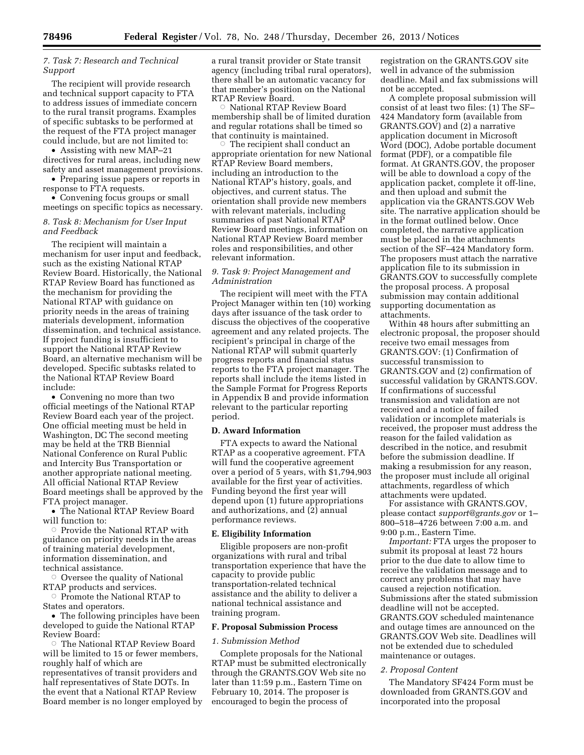# *7. Task 7: Research and Technical Support*

The recipient will provide research and technical support capacity to FTA to address issues of immediate concern to the rural transit programs. Examples of specific subtasks to be performed at the request of the FTA project manager could include, but are not limited to:

• Assisting with new MAP–21 directives for rural areas, including new safety and asset management provisions.

• Preparing issue papers or reports in response to FTA requests.

• Convening focus groups or small meetings on specific topics as necessary.

## *8. Task 8: Mechanism for User Input and Feedback*

The recipient will maintain a mechanism for user input and feedback, such as the existing National RTAP Review Board. Historically, the National RTAP Review Board has functioned as the mechanism for providing the National RTAP with guidance on priority needs in the areas of training materials development, information dissemination, and technical assistance. If project funding is insufficient to support the National RTAP Review Board, an alternative mechanism will be developed. Specific subtasks related to the National RTAP Review Board include:

• Convening no more than two official meetings of the National RTAP Review Board each year of the project. One official meeting must be held in Washington, DC The second meeting may be held at the TRB Biennial National Conference on Rural Public and Intercity Bus Transportation or another appropriate national meeting. All official National RTAP Review Board meetings shall be approved by the FTA project manager.

• The National RTAP Review Board will function to:

 $\circ$  Provide the National RTAP with guidance on priority needs in the areas of training material development, information dissemination, and technical assistance.

 $\circ$  Oversee the quality of National RTAP products and services.

 $\circ$  Promote the National RTAP to States and operators.

• The following principles have been developed to guide the National RTAP Review Board:

**The National RTAP Review Board** will be limited to 15 or fewer members, roughly half of which are representatives of transit providers and half representatives of State DOTs. In the event that a National RTAP Review Board member is no longer employed by a rural transit provider or State transit agency (including tribal rural operators), there shall be an automatic vacancy for that member's position on the National RTAP Review Board.

Æ National RTAP Review Board membership shall be of limited duration and regular rotations shall be timed so that continuity is maintained.

 $\circ$  The recipient shall conduct an appropriate orientation for new National RTAP Review Board members, including an introduction to the National RTAP's history, goals, and objectives, and current status. The orientation shall provide new members with relevant materials, including summaries of past National RTAP Review Board meetings, information on National RTAP Review Board member roles and responsibilities, and other relevant information.

# *9. Task 9: Project Management and Administration*

The recipient will meet with the FTA Project Manager within ten (10) working days after issuance of the task order to discuss the objectives of the cooperative agreement and any related projects. The recipient's principal in charge of the National RTAP will submit quarterly progress reports and financial status reports to the FTA project manager. The reports shall include the items listed in the Sample Format for Progress Reports in Appendix B and provide information relevant to the particular reporting period.

### **D. Award Information**

FTA expects to award the National RTAP as a cooperative agreement. FTA will fund the cooperative agreement over a period of 5 years, with \$1,794,903 available for the first year of activities. Funding beyond the first year will depend upon (1) future appropriations and authorizations, and (2) annual performance reviews.

#### **E. Eligibility Information**

Eligible proposers are non-profit organizations with rural and tribal transportation experience that have the capacity to provide public transportation-related technical assistance and the ability to deliver a national technical assistance and training program.

## **F. Proposal Submission Process**

#### *1. Submission Method*

Complete proposals for the National RTAP must be submitted electronically through the GRANTS.GOV Web site no later than 11:59 p.m., Eastern Time on February 10, 2014. The proposer is encouraged to begin the process of

registration on the GRANTS.GOV site well in advance of the submission deadline. Mail and fax submissions will not be accepted.

A complete proposal submission will consist of at least two files: (1) The SF– 424 Mandatory form (available from GRANTS.GOV) and (2) a narrative application document in Microsoft Word (DOC), Adobe portable document format (PDF), or a compatible file format. At GRANTS.GOV, the proposer will be able to download a copy of the application packet, complete it off-line, and then upload and submit the application via the GRANTS.GOV Web site. The narrative application should be in the format outlined below. Once completed, the narrative application must be placed in the attachments section of the SF–424 Mandatory form. The proposers must attach the narrative application file to its submission in GRANTS.GOV to successfully complete the proposal process. A proposal submission may contain additional supporting documentation as attachments.

Within 48 hours after submitting an electronic proposal, the proposer should receive two email messages from GRANTS.GOV: (1) Confirmation of successful transmission to GRANTS.GOV and (2) confirmation of successful validation by GRANTS.GOV. If confirmations of successful transmission and validation are not received and a notice of failed validation or incomplete materials is received, the proposer must address the reason for the failed validation as described in the notice, and resubmit before the submission deadline. If making a resubmission for any reason, the proposer must include all original attachments, regardless of which attachments were updated.

For assistance with GRANTS.GOV, please contact *[support@grants.gov](mailto:support@grants.gov)* or 1– 800–518–4726 between 7:00 a.m. and 9:00 p.m., Eastern Time.

*Important:* FTA urges the proposer to submit its proposal at least 72 hours prior to the due date to allow time to receive the validation message and to correct any problems that may have caused a rejection notification. Submissions after the stated submission deadline will not be accepted. GRANTS.GOV scheduled maintenance and outage times are announced on the GRANTS.GOV Web site. Deadlines will not be extended due to scheduled maintenance or outages.

#### *2. Proposal Content*

The Mandatory SF424 Form must be downloaded from GRANTS.GOV and incorporated into the proposal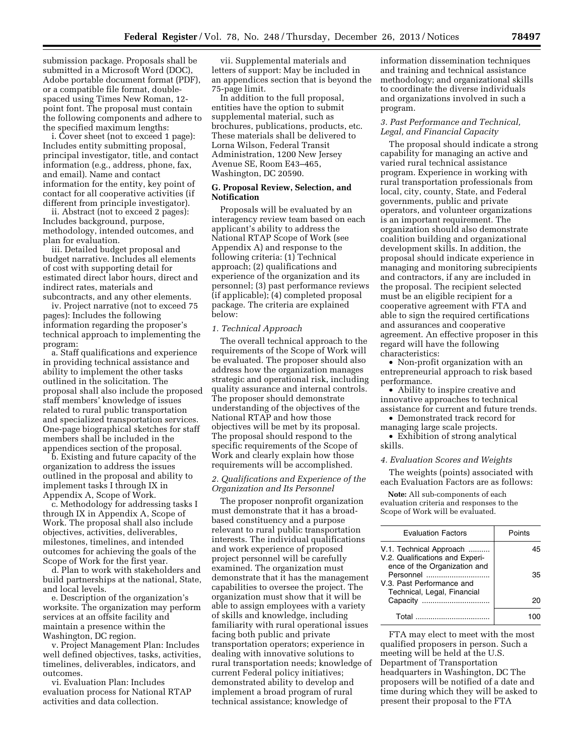submission package. Proposals shall be submitted in a Microsoft Word (DOC), Adobe portable document format (PDF), or a compatible file format, doublespaced using Times New Roman, 12 point font. The proposal must contain the following components and adhere to the specified maximum lengths:

i. Cover sheet (not to exceed 1 page): Includes entity submitting proposal, principal investigator, title, and contact information (e.g., address, phone, fax, and email). Name and contact information for the entity, key point of contact for all cooperative activities (if different from principle investigator).

ii. Abstract (not to exceed 2 pages): Includes background, purpose, methodology, intended outcomes, and plan for evaluation.

iii. Detailed budget proposal and budget narrative. Includes all elements of cost with supporting detail for estimated direct labor hours, direct and indirect rates, materials and subcontracts, and any other elements.

iv. Project narrative (not to exceed 75 pages): Includes the following information regarding the proposer's technical approach to implementing the program:

a. Staff qualifications and experience in providing technical assistance and ability to implement the other tasks outlined in the solicitation. The proposal shall also include the proposed staff members' knowledge of issues related to rural public transportation and specialized transportation services. One-page biographical sketches for staff members shall be included in the appendices section of the proposal.

b. Existing and future capacity of the organization to address the issues outlined in the proposal and ability to implement tasks I through IX in Appendix A, Scope of Work.

c. Methodology for addressing tasks I through IX in Appendix A, Scope of Work. The proposal shall also include objectives, activities, deliverables, milestones, timelines, and intended outcomes for achieving the goals of the Scope of Work for the first year.

d. Plan to work with stakeholders and build partnerships at the national, State, and local levels.

e. Description of the organization's worksite. The organization may perform services at an offsite facility and maintain a presence within the Washington, DC region.

v. Project Management Plan: Includes well defined objectives, tasks, activities, timelines, deliverables, indicators, and outcomes.

vi. Evaluation Plan: Includes evaluation process for National RTAP activities and data collection.

vii. Supplemental materials and letters of support: May be included in an appendices section that is beyond the 75-page limit.

In addition to the full proposal, entities have the option to submit supplemental material, such as brochures, publications, products, etc. These materials shall be delivered to Lorna Wilson, Federal Transit Administration, 1200 New Jersey Avenue SE, Room E43–465, Washington, DC 20590.

# **G. Proposal Review, Selection, and Notification**

Proposals will be evaluated by an interagency review team based on each applicant's ability to address the National RTAP Scope of Work (see Appendix A) and response to the following criteria: (1) Technical approach; (2) qualifications and experience of the organization and its personnel; (3) past performance reviews (if applicable); (4) completed proposal package. The criteria are explained below:

# *1. Technical Approach*

The overall technical approach to the requirements of the Scope of Work will be evaluated. The proposer should also address how the organization manages strategic and operational risk, including quality assurance and internal controls. The proposer should demonstrate understanding of the objectives of the National RTAP and how those objectives will be met by its proposal. The proposal should respond to the specific requirements of the Scope of Work and clearly explain how those requirements will be accomplished.

### *2. Qualifications and Experience of the Organization and Its Personnel*

The proposer nonprofit organization must demonstrate that it has a broadbased constituency and a purpose relevant to rural public transportation interests. The individual qualifications and work experience of proposed project personnel will be carefully examined. The organization must demonstrate that it has the management capabilities to oversee the project. The organization must show that it will be able to assign employees with a variety of skills and knowledge, including familiarity with rural operational issues facing both public and private transportation operators; experience in dealing with innovative solutions to rural transportation needs; knowledge of current Federal policy initiatives; demonstrated ability to develop and implement a broad program of rural technical assistance; knowledge of

information dissemination techniques and training and technical assistance methodology; and organizational skills to coordinate the diverse individuals and organizations involved in such a program.

### *3. Past Performance and Technical, Legal, and Financial Capacity*

The proposal should indicate a strong capability for managing an active and varied rural technical assistance program. Experience in working with rural transportation professionals from local, city, county, State, and Federal governments, public and private operators, and volunteer organizations is an important requirement. The organization should also demonstrate coalition building and organizational development skills. In addition, the proposal should indicate experience in managing and monitoring subrecipients and contractors, if any are included in the proposal. The recipient selected must be an eligible recipient for a cooperative agreement with FTA and able to sign the required certifications and assurances and cooperative agreement. An effective proposer in this regard will have the following characteristics:

• Non-profit organization with an entrepreneurial approach to risk based performance.

• Ability to inspire creative and innovative approaches to technical assistance for current and future trends.

• Demonstrated track record for

managing large scale projects. • Exhibition of strong analytical skills.

#### *4. Evaluation Scores and Weights*

The weights (points) associated with each Evaluation Factors are as follows:

**Note:** All sub-components of each evaluation criteria and responses to the Scope of Work will be evaluated.

| <b>Evaluation Factors</b>                                                                                                                                           | Points |
|---------------------------------------------------------------------------------------------------------------------------------------------------------------------|--------|
| V.1. Technical Approach<br>V.2. Qualifications and Experi-<br>ence of the Organization and<br>Personnel<br>V.3. Past Performance and<br>Technical, Legal, Financial | 45     |
|                                                                                                                                                                     | 35     |
| Capacity                                                                                                                                                            | 20     |
| Total                                                                                                                                                               |        |

FTA may elect to meet with the most qualified proposers in person. Such a meeting will be held at the U.S. Department of Transportation headquarters in Washington, DC The proposers will be notified of a date and time during which they will be asked to present their proposal to the FTA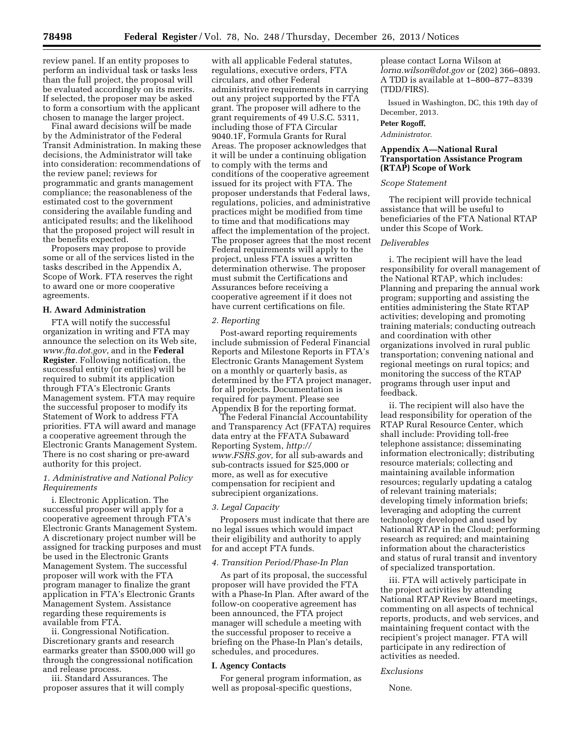review panel. If an entity proposes to perform an individual task or tasks less than the full project, the proposal will be evaluated accordingly on its merits. If selected, the proposer may be asked to form a consortium with the applicant chosen to manage the larger project.

Final award decisions will be made by the Administrator of the Federal Transit Administration. In making these decisions, the Administrator will take into consideration: recommendations of the review panel; reviews for programmatic and grants management compliance; the reasonableness of the estimated cost to the government considering the available funding and anticipated results; and the likelihood that the proposed project will result in the benefits expected.

Proposers may propose to provide some or all of the services listed in the tasks described in the Appendix A, Scope of Work. FTA reserves the right to award one or more cooperative agreements.

## **H. Award Administration**

FTA will notify the successful organization in writing and FTA may announce the selection on its Web site, *[www.fta.dot.gov](http://www.fta.dot.gov)*, and in the **Federal Register**. Following notification, the successful entity (or entities) will be required to submit its application through FTA's Electronic Grants Management system. FTA may require the successful proposer to modify its Statement of Work to address FTA priorities. FTA will award and manage a cooperative agreement through the Electronic Grants Management System. There is no cost sharing or pre-award authority for this project.

## *1. Administrative and National Policy Requirements*

i. Electronic Application. The successful proposer will apply for a cooperative agreement through FTA's Electronic Grants Management System. A discretionary project number will be assigned for tracking purposes and must be used in the Electronic Grants Management System. The successful proposer will work with the FTA program manager to finalize the grant application in FTA's Electronic Grants Management System. Assistance regarding these requirements is available from FTA.

ii. Congressional Notification. Discretionary grants and research earmarks greater than \$500,000 will go through the congressional notification and release process.

iii. Standard Assurances. The proposer assures that it will comply

with all applicable Federal statutes, regulations, executive orders, FTA circulars, and other Federal administrative requirements in carrying out any project supported by the FTA grant. The proposer will adhere to the grant requirements of 49 U.S.C. 5311, including those of FTA Circular 9040.1F, Formula Grants for Rural Areas. The proposer acknowledges that it will be under a continuing obligation to comply with the terms and conditions of the cooperative agreement issued for its project with FTA. The proposer understands that Federal laws, regulations, policies, and administrative practices might be modified from time to time and that modifications may affect the implementation of the project. The proposer agrees that the most recent Federal requirements will apply to the project, unless FTA issues a written determination otherwise. The proposer must submit the Certifications and Assurances before receiving a cooperative agreement if it does not have current certifications on file.

#### *2. Reporting*

Post-award reporting requirements include submission of Federal Financial Reports and Milestone Reports in FTA's Electronic Grants Management System on a monthly or quarterly basis, as determined by the FTA project manager, for all projects. Documentation is required for payment. Please see Appendix B for the reporting format.

The Federal Financial Accountability and Transparency Act (FFATA) requires data entry at the FFATA Subaward Reporting System, *[http://](http://www.FSRS.gov) [www.FSRS.gov,](http://www.FSRS.gov)* for all sub-awards and sub-contracts issued for \$25,000 or more, as well as for executive compensation for recipient and subrecipient organizations.

#### *3. Legal Capacity*

Proposers must indicate that there are no legal issues which would impact their eligibility and authority to apply for and accept FTA funds.

#### *4. Transition Period/Phase-In Plan*

As part of its proposal, the successful proposer will have provided the FTA with a Phase-In Plan. After award of the follow-on cooperative agreement has been announced, the FTA project manager will schedule a meeting with the successful proposer to receive a briefing on the Phase-In Plan's details, schedules, and procedures.

#### **I. Agency Contacts**

For general program information, as well as proposal-specific questions,

please contact Lorna Wilson at *[lorna.wilson@dot.gov](mailto:lorna.wilson@dot.gov)* or (202) 366–0893. A TDD is available at 1–800–877–8339 (TDD/FIRS).

Issued in Washington, DC, this 19th day of December, 2013.

#### **Peter Rogoff,**

*Administrator.* 

# **Appendix A—National Rural Transportation Assistance Program (RTAP) Scope of Work**

## *Scope Statement*

The recipient will provide technical assistance that will be useful to beneficiaries of the FTA National RTAP under this Scope of Work.

### *Deliverables*

i. The recipient will have the lead responsibility for overall management of the National RTAP, which includes: Planning and preparing the annual work program; supporting and assisting the entities administering the State RTAP activities; developing and promoting training materials; conducting outreach and coordination with other organizations involved in rural public transportation; convening national and regional meetings on rural topics; and monitoring the success of the RTAP programs through user input and feedback.

ii. The recipient will also have the lead responsibility for operation of the RTAP Rural Resource Center, which shall include: Providing toll-free telephone assistance; disseminating information electronically; distributing resource materials; collecting and maintaining available information resources; regularly updating a catalog of relevant training materials; developing timely information briefs; leveraging and adopting the current technology developed and used by National RTAP in the Cloud; performing research as required; and maintaining information about the characteristics and status of rural transit and inventory of specialized transportation.

iii. FTA will actively participate in the project activities by attending National RTAP Review Board meetings, commenting on all aspects of technical reports, products, and web services, and maintaining frequent contact with the recipient's project manager. FTA will participate in any redirection of activities as needed.

#### *Exclusions*

None.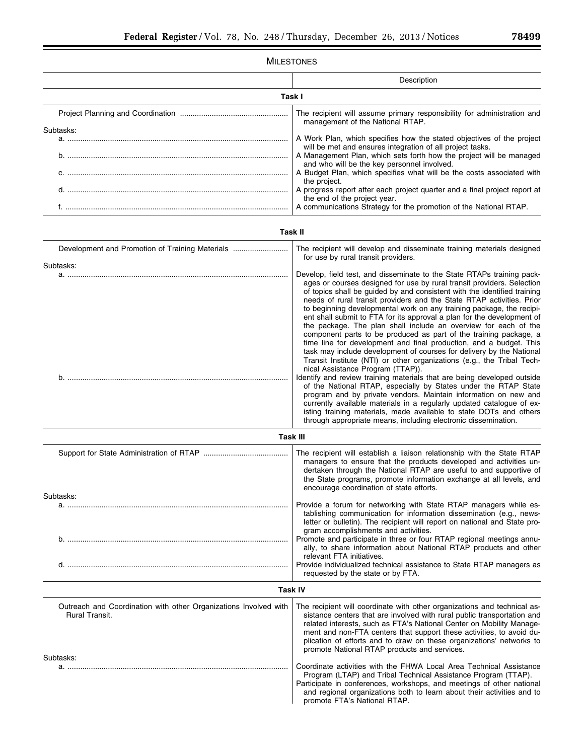# MILESTONES Description **Task I**  Project Planning and Coordination ................................................... The recipient will assume primary responsibility for administration and management of the National RTAP. Subtasks: a. ........................................................................................................ A Work Plan, which specifies how the stated objectives of the project will be met and ensures integration of all project tasks. b. ........................................................................................................ A Management Plan, which sets forth how the project will be managed and who will be the key personnel involved. c. ........................................................................................................ A Budget Plan, which specifies what will be the costs associated with the project. d. ........................................................................................................ A progress report after each project quarter and a final project report at the end of the project year. f. ......................................................................................................... A communications Strategy for the promotion of the National RTAP. **Task II**  Development and Promotion of Training Materials .......................... The recipient will develop and disseminate training materials designed for use by rural transit providers. Subtasks: a. ........................................................................................................ Develop, field test, and disseminate to the State RTAPs training packages or courses designed for use by rural transit providers. Selection of topics shall be guided by and consistent with the identified training needs of rural transit providers and the State RTAP activities. Prior to beginning developmental work on any training package, the recipient shall submit to FTA for its approval a plan for the development of the package. The plan shall include an overview for each of the component parts to be produced as part of the training package, a time line for development and final production, and a budget. This task may include development of courses for delivery by the National Transit Institute (NTI) or other organizations (e.g., the Tribal Technical Assistance Program (TTAP)). b. ........................................................................................................ Identify and review training materials that are being developed outside of the National RTAP, especially by States under the RTAP State program and by private vendors. Maintain information on new and currently available materials in a regularly updated catalogue of existing training materials, made available to state DOTs and others through appropriate means, including electronic dissemination. **Task III**  Support for State Administration of RTAP ........................................ The recipient will establish a liaison relationship with the State RTAP managers to ensure that the products developed and activities undertaken through the National RTAP are useful to and supportive of the State programs, promote information exchange at all levels, and encourage coordination of state efforts. Subtasks: a. ........................................................................................................ Provide a forum for networking with State RTAP managers while establishing communication for information dissemination (e.g., newsletter or bulletin). The recipient will report on national and State program accomplishments and activities. b. ........................................................................................................ Promote and participate in three or four RTAP regional meetings annually, to share information about National RTAP products and other relevant FTA initiatives. d. ........................................................................................................ Provide individualized technical assistance to State RTAP managers as requested by the state or by FTA. **Task IV**  Outreach and Coordination with other Organizations Involved with Rural Transit. The recipient will coordinate with other organizations and technical assistance centers that are involved with rural public transportation and related interests, such as FTA's National Center on Mobility Management and non-FTA centers that support these activities, to avoid duplication of efforts and to draw on these organizations' networks to promote National RTAP products and services. Subtasks: a. ........................................................................................................ Coordinate activities with the FHWA Local Area Technical Assistance Program (LTAP) and Tribal Technical Assistance Program (TTAP). Participate in conferences, workshops, and meetings of other national and regional organizations both to learn about their activities and to promote FTA's National RTAP.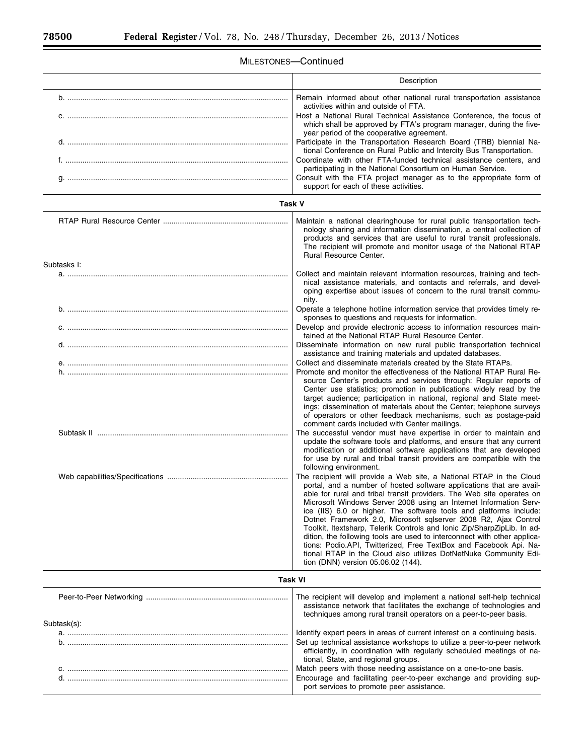$\equiv$ 

 $\equiv$ 

# MILESTONES—Continued

|             | Description                                                                                                                                                                                                                                                                                                                                                                                                                                                                                                                                                                                                                                                                                                                                                              |  |  |  |  |  |  |  |
|-------------|--------------------------------------------------------------------------------------------------------------------------------------------------------------------------------------------------------------------------------------------------------------------------------------------------------------------------------------------------------------------------------------------------------------------------------------------------------------------------------------------------------------------------------------------------------------------------------------------------------------------------------------------------------------------------------------------------------------------------------------------------------------------------|--|--|--|--|--|--|--|
|             | Remain informed about other national rural transportation assistance<br>activities within and outside of FTA.<br>Host a National Rural Technical Assistance Conference, the focus of                                                                                                                                                                                                                                                                                                                                                                                                                                                                                                                                                                                     |  |  |  |  |  |  |  |
|             | which shall be approved by FTA's program manager, during the five-<br>year period of the cooperative agreement.<br>Participate in the Transportation Research Board (TRB) biennial Na-<br>tional Conference on Rural Public and Intercity Bus Transportation.                                                                                                                                                                                                                                                                                                                                                                                                                                                                                                            |  |  |  |  |  |  |  |
|             | Coordinate with other FTA-funded technical assistance centers, and<br>participating in the National Consortium on Human Service.<br>Consult with the FTA project manager as to the appropriate form of<br>support for each of these activities.                                                                                                                                                                                                                                                                                                                                                                                                                                                                                                                          |  |  |  |  |  |  |  |
| Task V      |                                                                                                                                                                                                                                                                                                                                                                                                                                                                                                                                                                                                                                                                                                                                                                          |  |  |  |  |  |  |  |
|             | Maintain a national clearinghouse for rural public transportation tech-<br>nology sharing and information dissemination, a central collection of<br>products and services that are useful to rural transit professionals.<br>The recipient will promote and monitor usage of the National RTAP<br>Rural Resource Center.                                                                                                                                                                                                                                                                                                                                                                                                                                                 |  |  |  |  |  |  |  |
| Subtasks I: |                                                                                                                                                                                                                                                                                                                                                                                                                                                                                                                                                                                                                                                                                                                                                                          |  |  |  |  |  |  |  |
|             | Collect and maintain relevant information resources, training and tech-<br>nical assistance materials, and contacts and referrals, and devel-<br>oping expertise about issues of concern to the rural transit commu-<br>nity.                                                                                                                                                                                                                                                                                                                                                                                                                                                                                                                                            |  |  |  |  |  |  |  |
|             | Operate a telephone hotline information service that provides timely re-<br>sponses to questions and requests for information.<br>Develop and provide electronic access to information resources main-                                                                                                                                                                                                                                                                                                                                                                                                                                                                                                                                                                   |  |  |  |  |  |  |  |
|             | tained at the National RTAP Rural Resource Center.<br>Disseminate information on new rural public transportation technical<br>assistance and training materials and updated databases.                                                                                                                                                                                                                                                                                                                                                                                                                                                                                                                                                                                   |  |  |  |  |  |  |  |
|             | Collect and disseminate materials created by the State RTAPs.<br>Promote and monitor the effectiveness of the National RTAP Rural Re-<br>source Center's products and services through: Regular reports of<br>Center use statistics; promotion in publications widely read by the<br>target audience; participation in national, regional and State meet-<br>ings; dissemination of materials about the Center; telephone surveys<br>of operators or other feedback mechanisms, such as postage-paid<br>comment cards included with Center mailings.                                                                                                                                                                                                                     |  |  |  |  |  |  |  |
|             | The successful vendor must have expertise in order to maintain and<br>update the software tools and platforms, and ensure that any current<br>modification or additional software applications that are developed<br>for use by rural and tribal transit providers are compatible with the<br>following environment.                                                                                                                                                                                                                                                                                                                                                                                                                                                     |  |  |  |  |  |  |  |
|             | The recipient will provide a Web site, a National RTAP in the Cloud<br>portal, and a number of hosted software applications that are avail-<br>able for rural and tribal transit providers. The Web site operates on<br>Microsoft Windows Server 2008 using an Internet Information Serv-<br>ice (IIS) 6.0 or higher. The software tools and platforms include:<br>Dotnet Framework 2.0, Microsoft sqlserver 2008 R2, Ajax Control<br>Toolkit, Itextsharp, Telerik Controls and Ionic Zip/SharpZipLib. In ad-<br>dition, the following tools are used to interconnect with other applica-<br>tions: Podio.API, Twitterized, Free TextBox and Facebook Api. Na-<br>tional RTAP in the Cloud also utilizes DotNetNuke Community Edi-<br>tion (DNN) version 05.06.02 (144). |  |  |  |  |  |  |  |
|             | <b>Task VI</b>                                                                                                                                                                                                                                                                                                                                                                                                                                                                                                                                                                                                                                                                                                                                                           |  |  |  |  |  |  |  |
|             | The recipient will develop and implement a national self-help technical<br>assistance network that facilitates the exchange of technologies and<br>techniques among rural transit operators on a peer-to-peer basis.                                                                                                                                                                                                                                                                                                                                                                                                                                                                                                                                                     |  |  |  |  |  |  |  |
| Subtask(s): | Identify expert peers in areas of current interest on a continuing basis.                                                                                                                                                                                                                                                                                                                                                                                                                                                                                                                                                                                                                                                                                                |  |  |  |  |  |  |  |
|             | Set up technical assistance workshops to utilize a peer-to-peer network<br>efficiently, in coordination with regularly scheduled meetings of na-<br>tional, State, and regional groups.                                                                                                                                                                                                                                                                                                                                                                                                                                                                                                                                                                                  |  |  |  |  |  |  |  |
|             | Match peers with those needing assistance on a one-to-one basis.<br>Encourage and facilitating peer-to-peer exchange and providing sup-<br>port services to promote peer assistance.                                                                                                                                                                                                                                                                                                                                                                                                                                                                                                                                                                                     |  |  |  |  |  |  |  |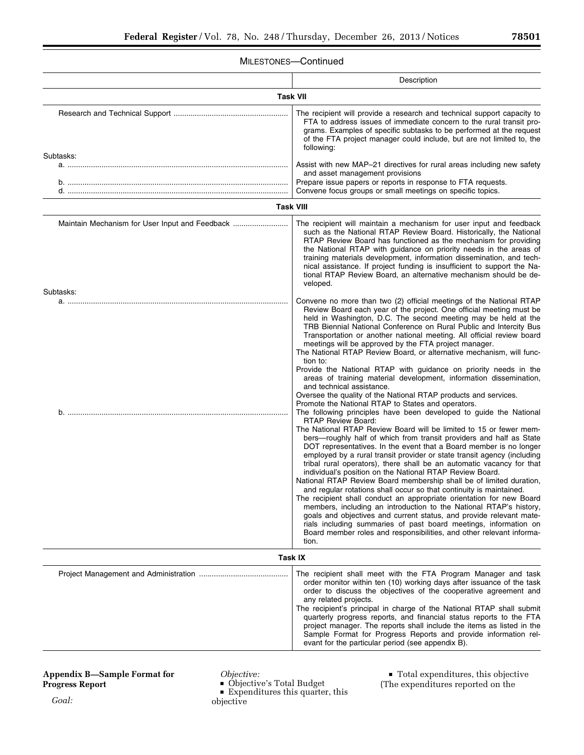۰

# MILESTONES—Continued

|                                                | Description                                                                                                                                                                                                                                                                                                                                                                                                                                                                                                                                                                                                                                                                                                                                                                                                                                                                                                                                                                                                                                                                                                                                                                                                                                                                                                                                                                                                                                                                                                                                                                                                                                                                                                                                                                                                                                                            |  |  |  |  |  |  |
|------------------------------------------------|------------------------------------------------------------------------------------------------------------------------------------------------------------------------------------------------------------------------------------------------------------------------------------------------------------------------------------------------------------------------------------------------------------------------------------------------------------------------------------------------------------------------------------------------------------------------------------------------------------------------------------------------------------------------------------------------------------------------------------------------------------------------------------------------------------------------------------------------------------------------------------------------------------------------------------------------------------------------------------------------------------------------------------------------------------------------------------------------------------------------------------------------------------------------------------------------------------------------------------------------------------------------------------------------------------------------------------------------------------------------------------------------------------------------------------------------------------------------------------------------------------------------------------------------------------------------------------------------------------------------------------------------------------------------------------------------------------------------------------------------------------------------------------------------------------------------------------------------------------------------|--|--|--|--|--|--|
| <b>Task VII</b>                                |                                                                                                                                                                                                                                                                                                                                                                                                                                                                                                                                                                                                                                                                                                                                                                                                                                                                                                                                                                                                                                                                                                                                                                                                                                                                                                                                                                                                                                                                                                                                                                                                                                                                                                                                                                                                                                                                        |  |  |  |  |  |  |
| Subtasks:                                      | The recipient will provide a research and technical support capacity to<br>FTA to address issues of immediate concern to the rural transit pro-<br>grams. Examples of specific subtasks to be performed at the request<br>of the FTA project manager could include, but are not limited to, the<br>following:<br>Assist with new MAP-21 directives for rural areas including new safety                                                                                                                                                                                                                                                                                                                                                                                                                                                                                                                                                                                                                                                                                                                                                                                                                                                                                                                                                                                                                                                                                                                                                                                                                                                                                                                                                                                                                                                                                |  |  |  |  |  |  |
|                                                | and asset management provisions<br>Prepare issue papers or reports in response to FTA requests.<br>Convene focus groups or small meetings on specific topics.                                                                                                                                                                                                                                                                                                                                                                                                                                                                                                                                                                                                                                                                                                                                                                                                                                                                                                                                                                                                                                                                                                                                                                                                                                                                                                                                                                                                                                                                                                                                                                                                                                                                                                          |  |  |  |  |  |  |
| <b>Task VIII</b>                               |                                                                                                                                                                                                                                                                                                                                                                                                                                                                                                                                                                                                                                                                                                                                                                                                                                                                                                                                                                                                                                                                                                                                                                                                                                                                                                                                                                                                                                                                                                                                                                                                                                                                                                                                                                                                                                                                        |  |  |  |  |  |  |
| Maintain Mechanism for User Input and Feedback | The recipient will maintain a mechanism for user input and feedback<br>such as the National RTAP Review Board. Historically, the National<br>RTAP Review Board has functioned as the mechanism for providing<br>the National RTAP with guidance on priority needs in the areas of<br>training materials development, information dissemination, and tech-<br>nical assistance. If project funding is insufficient to support the Na-<br>tional RTAP Review Board, an alternative mechanism should be de-<br>veloped.                                                                                                                                                                                                                                                                                                                                                                                                                                                                                                                                                                                                                                                                                                                                                                                                                                                                                                                                                                                                                                                                                                                                                                                                                                                                                                                                                   |  |  |  |  |  |  |
| Subtasks:                                      |                                                                                                                                                                                                                                                                                                                                                                                                                                                                                                                                                                                                                                                                                                                                                                                                                                                                                                                                                                                                                                                                                                                                                                                                                                                                                                                                                                                                                                                                                                                                                                                                                                                                                                                                                                                                                                                                        |  |  |  |  |  |  |
|                                                | Convene no more than two (2) official meetings of the National RTAP<br>Review Board each year of the project. One official meeting must be<br>held in Washington, D.C. The second meeting may be held at the<br>TRB Biennial National Conference on Rural Public and Intercity Bus<br>Transportation or another national meeting. All official review board<br>meetings will be approved by the FTA project manager.<br>The National RTAP Review Board, or alternative mechanism, will func-<br>tion to:<br>Provide the National RTAP with guidance on priority needs in the<br>areas of training material development, information dissemination,<br>and technical assistance.<br>Oversee the quality of the National RTAP products and services.<br>Promote the National RTAP to States and operators.<br>The following principles have been developed to guide the National<br><b>RTAP Review Board:</b><br>The National RTAP Review Board will be limited to 15 or fewer mem-<br>bers-roughly half of which from transit providers and half as State<br>DOT representatives. In the event that a Board member is no longer<br>employed by a rural transit provider or state transit agency (including<br>tribal rural operators), there shall be an automatic vacancy for that<br>individual's position on the National RTAP Review Board.<br>National RTAP Review Board membership shall be of limited duration,<br>and regular rotations shall occur so that continuity is maintained.<br>The recipient shall conduct an appropriate orientation for new Board<br>members, including an introduction to the National RTAP's history,<br>goals and objectives and current status, and provide relevant mate-<br>rials including summaries of past board meetings, information on<br>Board member roles and responsibilities, and other relevant informa-<br>tion. |  |  |  |  |  |  |
|                                                | <b>Task IX</b>                                                                                                                                                                                                                                                                                                                                                                                                                                                                                                                                                                                                                                                                                                                                                                                                                                                                                                                                                                                                                                                                                                                                                                                                                                                                                                                                                                                                                                                                                                                                                                                                                                                                                                                                                                                                                                                         |  |  |  |  |  |  |
|                                                | The recipient shall meet with the FTA Program Manager and task<br>order monitor within ten (10) working days after issuance of the task<br>order to discuss the objectives of the cooperative agreement and<br>any related projects.<br>The recipient's principal in charge of the National RTAP shall submit<br>quarterly progress reports, and financial status reports to the FTA<br>project manager. The reports shall include the items as listed in the<br>Sample Format for Progress Reports and provide information rel-<br>evant for the particular period (see appendix B).                                                                                                                                                                                                                                                                                                                                                                                                                                                                                                                                                                                                                                                                                                                                                                                                                                                                                                                                                                                                                                                                                                                                                                                                                                                                                  |  |  |  |  |  |  |

# **Appendix B—Sample Format for Progress Report**

*Objective:* 

- Objective's Total Budget<br>■ Expenditures this quarter
- $\blacksquare$  Expenditures this quarter, this<br>iective

objective

 $\textcolor{red}{\bullet}$  Total expenditures, this objective (The expenditures reported on the

*Goal:*